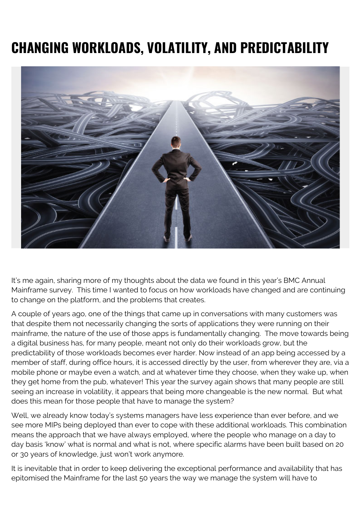## **CHANGING WORKLOADS, VOLATILITY, AND PREDICTABILITY**



It's me again, sharing more of my thoughts about the data we found in this year's BMC Annual Mainframe survey. This time I wanted to focus on how workloads have changed and are continuing to change on the platform, and the problems that creates.

A couple of years ago, one of the things that came up in conversations with many customers was that despite them not necessarily changing the sorts of applications they were running on their mainframe, the nature of the use of those apps is fundamentally changing. The move towards being a digital business has, for many people, meant not only do their workloads grow, but the predictability of those workloads becomes ever harder. Now instead of an app being accessed by a member of staff, during office hours, it is accessed directly by the user, from wherever they are, via a mobile phone or maybe even a watch, and at whatever time they choose, when they wake up, when they get home from the pub, whatever! This year the survey again shows that many people are still seeing an increase in volatility, it appears that being more changeable is the new normal. But what does this mean for those people that have to manage the system?

Well, we already know today's systems managers have less experience than ever before, and we see more MIPs being deployed than ever to cope with these additional workloads. This combination means the approach that we have always employed, where the people who manage on a day to day basis 'know' what is normal and what is not, where specific alarms have been built based on 20 or 30 years of knowledge, just won't work anymore.

It is inevitable that in order to keep delivering the exceptional performance and availability that has epitomised the Mainframe for the last 50 years the way we manage the system will have to